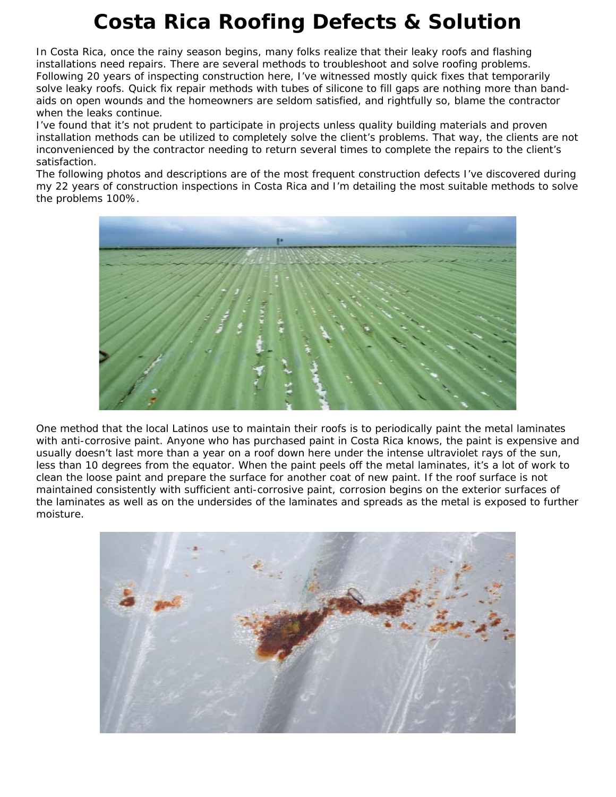## **Costa Rica Roofing Defects & Solution**

In Costa Rica, once the rainy season begins, many folks realize that their leaky roofs and flashing installations need repairs. There are several methods to troubleshoot and solve roofing problems. Following 20 years of inspecting construction here, I've witnessed mostly quick fixes that temporarily solve leaky roofs. Quick fix repair methods with tubes of silicone to fill gaps are nothing more than bandaids on open wounds and the homeowners are seldom satisfied, and rightfully so, blame the contractor when the leaks continue.

I've found that it's not prudent to participate in projects unless quality building materials and proven installation methods can be utilized to completely solve the client's problems. That way, the clients are not inconvenienced by the contractor needing to return several times to complete the repairs to the client's satisfaction.

The following photos and descriptions are of the most frequent construction defects I've discovered during my 22 years of construction inspections in Costa Rica and I'm detailing the most suitable methods to solve the problems 100%.



One method that the local Latinos use to maintain their roofs is to periodically paint the metal laminates with anti-corrosive paint. Anyone who has purchased paint in Costa Rica knows, the paint is expensive and usually doesn't last more than a year on a roof down here under the intense ultraviolet rays of the sun, less than 10 degrees from the equator. When the paint peels off the metal laminates, it's a lot of work to clean the loose paint and prepare the surface for another coat of new paint. If the roof surface is not maintained consistently with sufficient anti-corrosive paint, corrosion begins on the exterior surfaces of the laminates as well as on the undersides of the laminates and spreads as the metal is exposed to further moisture.

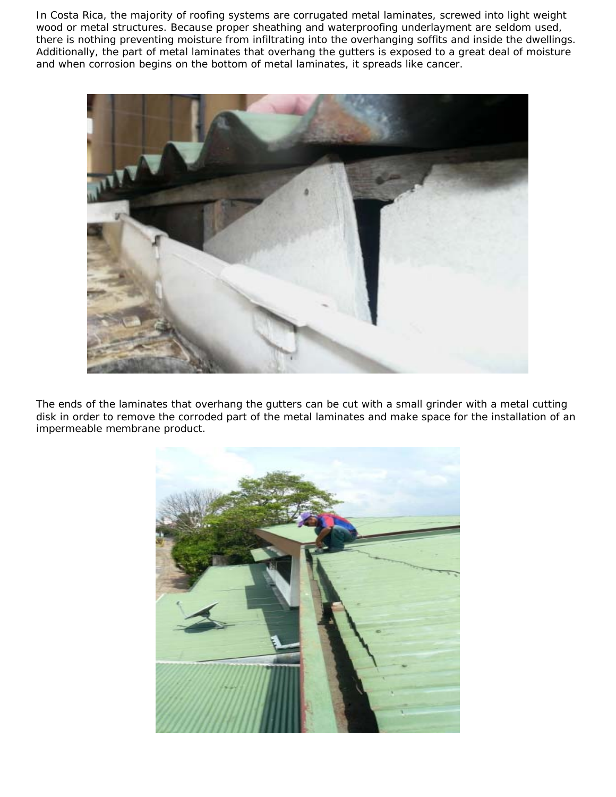In Costa Rica, the majority of roofing systems are corrugated metal laminates, screwed into light weight wood or metal structures. Because proper sheathing and waterproofing underlayment are seldom used, there is nothing preventing moisture from infiltrating into the overhanging soffits and inside the dwellings. Additionally, the part of metal laminates that overhang the gutters is exposed to a great deal of moisture and when corrosion begins on the bottom of metal laminates, it spreads like cancer.



The ends of the laminates that overhang the gutters can be cut with a small grinder with a metal cutting disk in order to remove the corroded part of the metal laminates and make space for the installation of an impermeable membrane product.

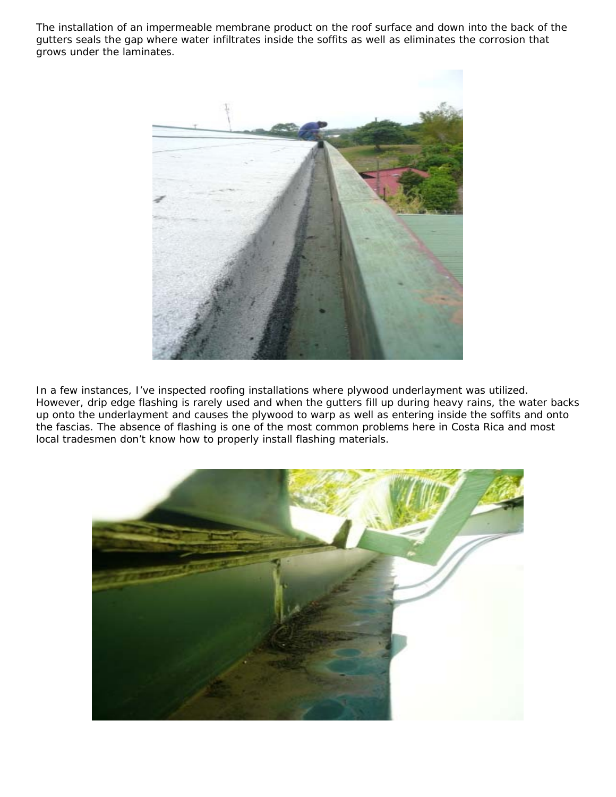The installation of an impermeable membrane product on the roof surface and down into the back of the gutters seals the gap where water infiltrates inside the soffits as well as eliminates the corrosion that grows under the laminates.



In a few instances, I've inspected roofing installations where plywood underlayment was utilized. However, drip edge flashing is rarely used and when the gutters fill up during heavy rains, the water backs up onto the underlayment and causes the plywood to warp as well as entering inside the soffits and onto the fascias. The absence of flashing is one of the most common problems here in Costa Rica and most local tradesmen don't know how to properly install flashing materials.

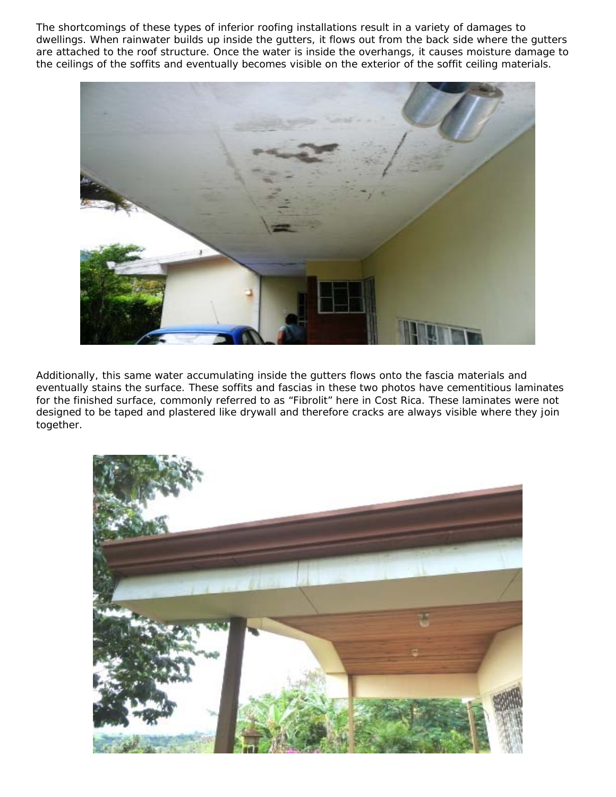The shortcomings of these types of inferior roofing installations result in a variety of damages to dwellings. When rainwater builds up inside the gutters, it flows out from the back side where the gutters are attached to the roof structure. Once the water is inside the overhangs, it causes moisture damage to the ceilings of the soffits and eventually becomes visible on the exterior of the soffit ceiling materials.



Additionally, this same water accumulating inside the gutters flows onto the fascia materials and eventually stains the surface. These soffits and fascias in these two photos have cementitious laminates for the finished surface, commonly referred to as "Fibrolit" here in Cost Rica. These laminates were not designed to be taped and plastered like drywall and therefore cracks are always visible where they join together.

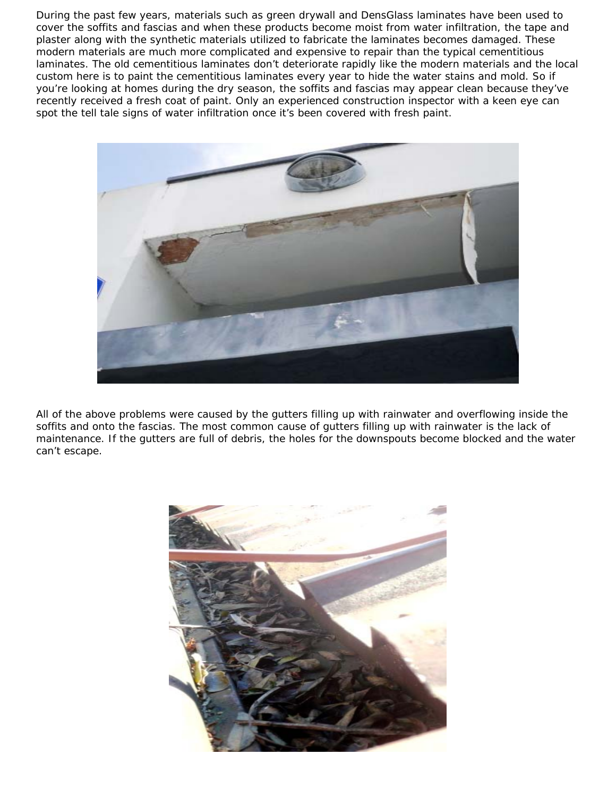During the past few years, materials such as green drywall and DensGlass laminates have been used to cover the soffits and fascias and when these products become moist from water infiltration, the tape and plaster along with the synthetic materials utilized to fabricate the laminates becomes damaged. These modern materials are much more complicated and expensive to repair than the typical cementitious laminates. The old cementitious laminates don't deteriorate rapidly like the modern materials and the local custom here is to paint the cementitious laminates every year to hide the water stains and mold. So if you're looking at homes during the dry season, the soffits and fascias may appear clean because they've recently received a fresh coat of paint. Only an experienced construction inspector with a keen eye can spot the tell tale signs of water infiltration once it's been covered with fresh paint.



All of the above problems were caused by the gutters filling up with rainwater and overflowing inside the soffits and onto the fascias. The most common cause of gutters filling up with rainwater is the lack of maintenance. If the gutters are full of debris, the holes for the downspouts become blocked and the water can't escape.

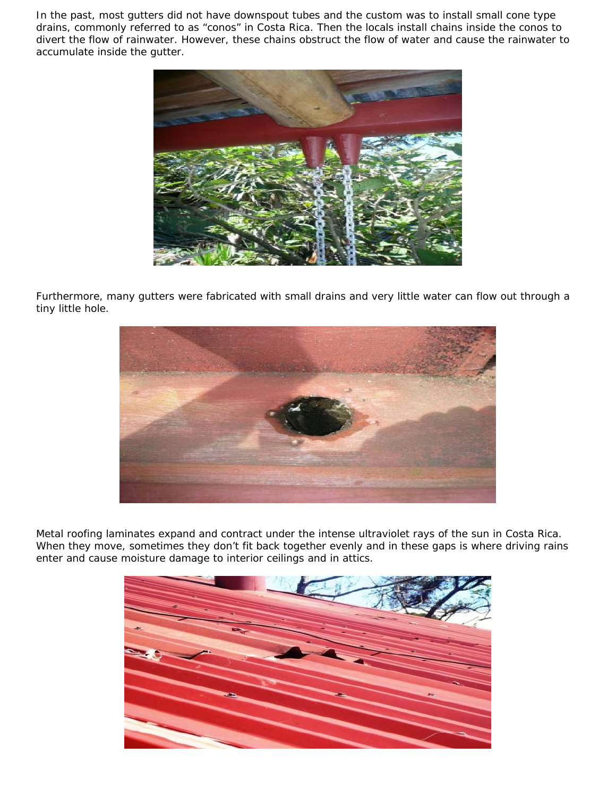In the past, most gutters did not have downspout tubes and the custom was to install small cone type drains, commonly referred to as "conos" in Costa Rica. Then the locals install chains inside the conos to divert the flow of rainwater. However, these chains obstruct the flow of water and cause the rainwater to accumulate inside the gutter.



Furthermore, many gutters were fabricated with small drains and very little water can flow out through a tiny little hole.



Metal roofing laminates expand and contract under the intense ultraviolet rays of the sun in Costa Rica. When they move, sometimes they don't fit back together evenly and in these gaps is where driving rains enter and cause moisture damage to interior ceilings and in attics.

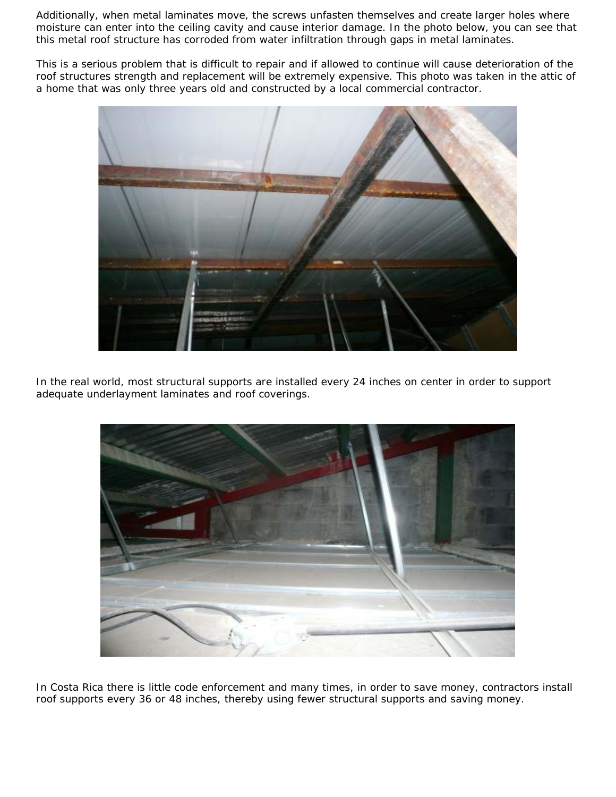Additionally, when metal laminates move, the screws unfasten themselves and create larger holes where moisture can enter into the ceiling cavity and cause interior damage. In the photo below, you can see that this metal roof structure has corroded from water infiltration through gaps in metal laminates.

This is a serious problem that is difficult to repair and if allowed to continue will cause deterioration of the roof structures strength and replacement will be extremely expensive. This photo was taken in the attic of a home that was only three years old and constructed by a local commercial contractor.



In the real world, most structural supports are installed every 24 inches on center in order to support adequate underlayment laminates and roof coverings.



In Costa Rica there is little code enforcement and many times, in order to save money, contractors install roof supports every 36 or 48 inches, thereby using fewer structural supports and saving money.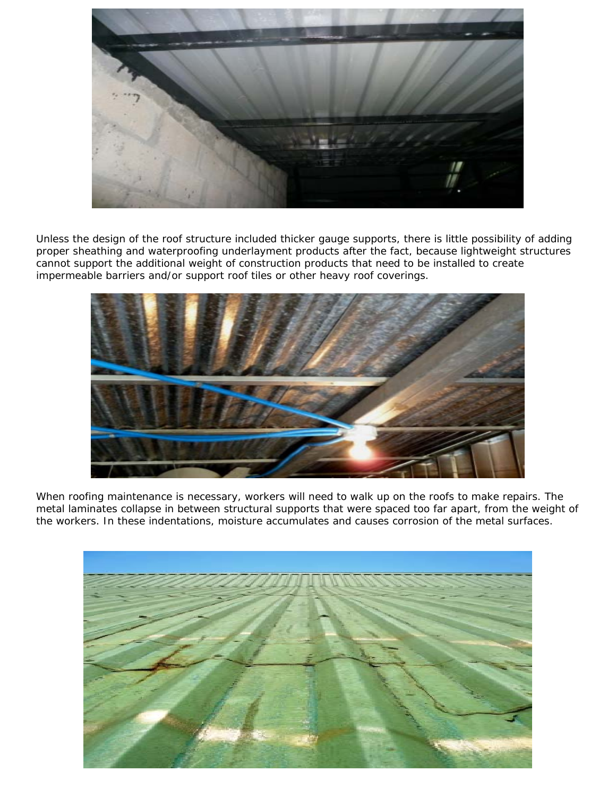

Unless the design of the roof structure included thicker gauge supports, there is little possibility of adding proper sheathing and waterproofing underlayment products after the fact, because lightweight structures cannot support the additional weight of construction products that need to be installed to create impermeable barriers and/or support roof tiles or other heavy roof coverings.



When roofing maintenance is necessary, workers will need to walk up on the roofs to make repairs. The metal laminates collapse in between structural supports that were spaced too far apart, from the weight of the workers. In these indentations, moisture accumulates and causes corrosion of the metal surfaces.

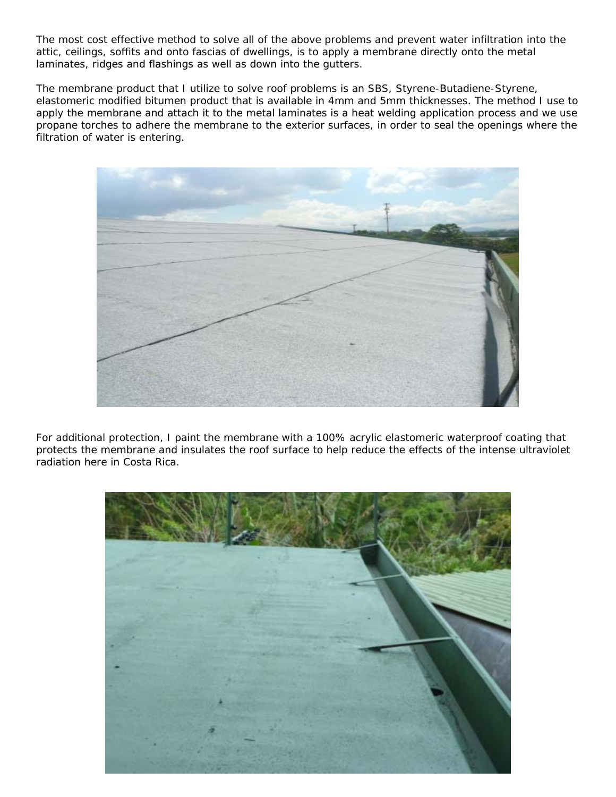The most cost effective method to solve all of the above problems and prevent water infiltration into the attic, ceilings, soffits and onto fascias of dwellings, is to apply a membrane directly onto the metal laminates, ridges and flashings as well as down into the gutters.

The membrane product that I utilize to solve roof problems is an SBS, Styrene-Butadiene-Styrene, elastomeric modified bitumen product that is available in 4mm and 5mm thicknesses. The method I use to apply the membrane and attach it to the metal laminates is a heat welding application process and we use propane torches to adhere the membrane to the exterior surfaces, in order to seal the openings where the filtration of water is entering.



For additional protection, I paint the membrane with a 100% acrylic elastomeric waterproof coating that protects the membrane and insulates the roof surface to help reduce the effects of the intense ultraviolet radiation here in Costa Rica.